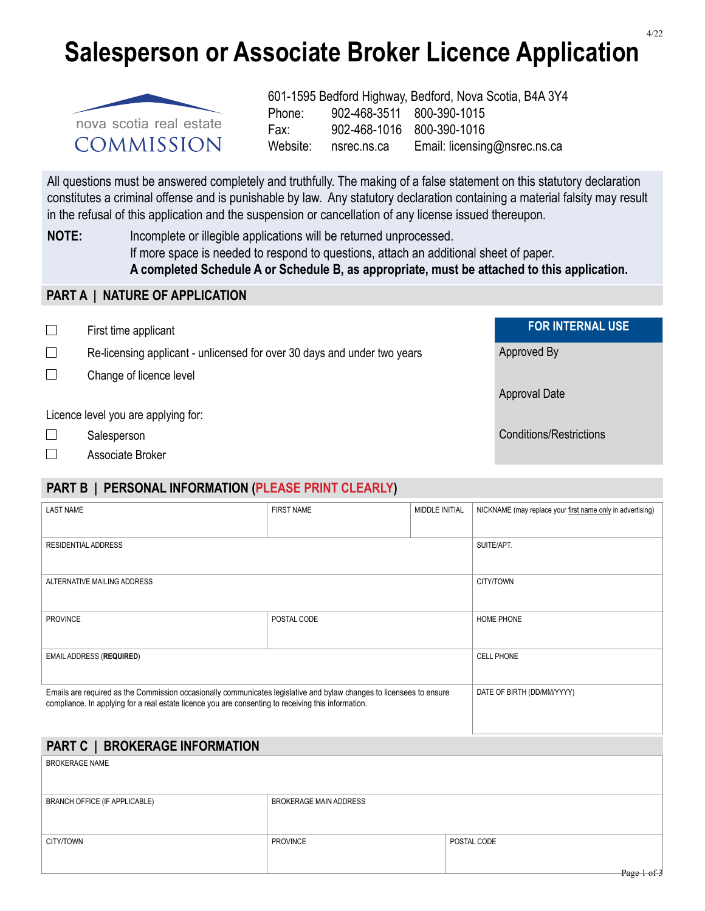# **Salesperson or Associate Broker Licence Application**



601-1595 Bedford Highway, Bedford, Nova Scotia, B4A 3Y4 Phone: 902-468-3511 800-390-1015 Fax: 902-468-1016 800-390-1016 Website: nsrec.ns.ca Email: licensing@nsrec.ns.ca

Approval Date

All questions must be answered completely and truthfully. The making of a false statement on this statutory declaration constitutes a criminal offense and is punishable by law. Any statutory declaration containing a material falsity may result in the refusal of this application and the suspension or cancellation of any license issued thereupon.

**NOTE:** Incomplete or illegible applications will be returned unprocessed. If more space is needed to respond to questions, attach an additional sheet of paper.  **A completed Schedule A or Schedule B, as appropriate, must be attached to this application.**

#### **PART A | NATURE OF APPLICATION**

First time applicant **FOR INTERNAL USE**

 $\Box$  Re-licensing applicant - unlicensed for over 30 days and under two years  $\Box$  Approved By

 $\Box$  Change of licence level

Licence level you are applying for:

- □ Salesperson Conditions/Restrictions
- □ Associate Broker

## **PART B | PERSONAL INFORMATION (PLEASE PRINT CLEARLY)**

| <b>LAST NAME</b>                                                                                                     | <b>FIRST NAME</b>             | MIDDLE INITIAL | NICKNAME (may replace your first name only in advertising) |  |  |
|----------------------------------------------------------------------------------------------------------------------|-------------------------------|----------------|------------------------------------------------------------|--|--|
|                                                                                                                      |                               |                |                                                            |  |  |
| <b>RESIDENTIAL ADDRESS</b>                                                                                           |                               |                | SUITE/APT.                                                 |  |  |
|                                                                                                                      |                               |                |                                                            |  |  |
| ALTERNATIVE MAILING ADDRESS                                                                                          |                               |                | CITY/TOWN                                                  |  |  |
|                                                                                                                      |                               |                |                                                            |  |  |
| <b>PROVINCE</b>                                                                                                      | POSTAL CODE                   |                | <b>HOME PHONE</b>                                          |  |  |
|                                                                                                                      |                               |                |                                                            |  |  |
| <b>EMAIL ADDRESS (REQUIRED)</b>                                                                                      | <b>CELL PHONE</b>             |                |                                                            |  |  |
|                                                                                                                      |                               |                |                                                            |  |  |
| Emails are required as the Commission occasionally communicates legislative and bylaw changes to licensees to ensure | DATE OF BIRTH (DD/MM/YYYY)    |                |                                                            |  |  |
| compliance. In applying for a real estate licence you are consenting to receiving this information.                  |                               |                |                                                            |  |  |
|                                                                                                                      |                               |                |                                                            |  |  |
| PART C   BROKERAGE INFORMATION                                                                                       |                               |                |                                                            |  |  |
| <b>BROKERAGE NAME</b>                                                                                                |                               |                |                                                            |  |  |
|                                                                                                                      |                               |                |                                                            |  |  |
| BRANCH OFFICE (IF APPLICABLE)                                                                                        | <b>BROKERAGE MAIN ADDRESS</b> |                |                                                            |  |  |
|                                                                                                                      |                               |                |                                                            |  |  |
| CITY/TOWN                                                                                                            | <b>PROVINCE</b>               |                | POSTAL CODE                                                |  |  |
|                                                                                                                      |                               |                |                                                            |  |  |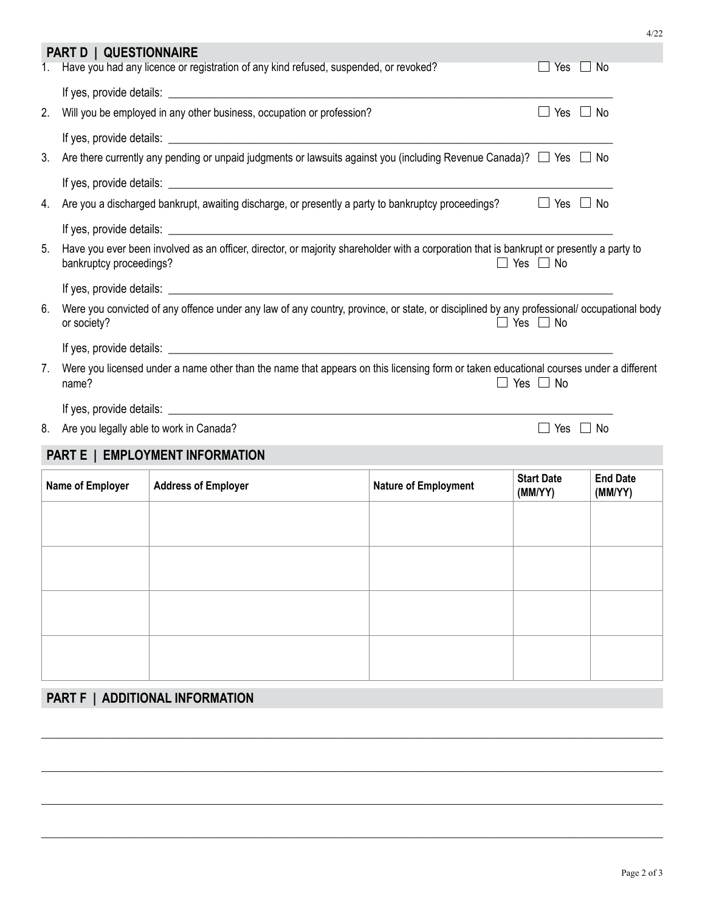|    | <b>PART D   QUESTIONNAIRE</b>                                                                                                                                                               |                                                                                                                              |                             |                              |                            |  |  |  |
|----|---------------------------------------------------------------------------------------------------------------------------------------------------------------------------------------------|------------------------------------------------------------------------------------------------------------------------------|-----------------------------|------------------------------|----------------------------|--|--|--|
| 1. | Have you had any licence or registration of any kind refused, suspended, or revoked?<br>Yes $\Box$ No                                                                                       |                                                                                                                              |                             |                              |                            |  |  |  |
|    |                                                                                                                                                                                             |                                                                                                                              |                             |                              |                            |  |  |  |
| 2. |                                                                                                                                                                                             | Will you be employed in any other business, occupation or profession?                                                        |                             | $\Box$ Yes $\Box$ No         |                            |  |  |  |
|    |                                                                                                                                                                                             |                                                                                                                              |                             |                              |                            |  |  |  |
| 3. |                                                                                                                                                                                             | Are there currently any pending or unpaid judgments or lawsuits against you (including Revenue Canada)? $\Box$ Yes $\Box$ No |                             |                              |                            |  |  |  |
|    |                                                                                                                                                                                             |                                                                                                                              |                             |                              |                            |  |  |  |
| 4. |                                                                                                                                                                                             | Are you a discharged bankrupt, awaiting discharge, or presently a party to bankruptcy proceedings?                           |                             | $\Box$ Yes $\Box$ No         |                            |  |  |  |
|    |                                                                                                                                                                                             |                                                                                                                              |                             |                              |                            |  |  |  |
| 5. | Have you ever been involved as an officer, director, or majority shareholder with a corporation that is bankrupt or presently a party to<br>$\Box$ Yes $\Box$ No<br>bankruptcy proceedings? |                                                                                                                              |                             |                              |                            |  |  |  |
|    |                                                                                                                                                                                             |                                                                                                                              |                             |                              |                            |  |  |  |
| 6. | Were you convicted of any offence under any law of any country, province, or state, or disciplined by any professional/ occupational body<br>or society?<br>$\Box$ Yes $\Box$ No            |                                                                                                                              |                             |                              |                            |  |  |  |
|    |                                                                                                                                                                                             |                                                                                                                              |                             |                              |                            |  |  |  |
| 7. | Were you licensed under a name other than the name that appears on this licensing form or taken educational courses under a different<br>$\Box$ Yes $\Box$ No<br>name?                      |                                                                                                                              |                             |                              |                            |  |  |  |
|    |                                                                                                                                                                                             |                                                                                                                              |                             |                              |                            |  |  |  |
|    |                                                                                                                                                                                             | 8. Are you legally able to work in Canada?                                                                                   |                             | $\Box$ Yes $\Box$ No         |                            |  |  |  |
|    |                                                                                                                                                                                             | PART E   EMPLOYMENT INFORMATION                                                                                              |                             |                              |                            |  |  |  |
|    | Name of Employer                                                                                                                                                                            | <b>Address of Employer</b>                                                                                                   | <b>Nature of Employment</b> | <b>Start Date</b><br>(MM/YY) | <b>End Date</b><br>(MM/YY) |  |  |  |
|    |                                                                                                                                                                                             |                                                                                                                              |                             |                              |                            |  |  |  |
|    |                                                                                                                                                                                             |                                                                                                                              |                             |                              |                            |  |  |  |
|    |                                                                                                                                                                                             |                                                                                                                              |                             |                              |                            |  |  |  |
|    |                                                                                                                                                                                             |                                                                                                                              |                             |                              |                            |  |  |  |
|    |                                                                                                                                                                                             |                                                                                                                              |                             |                              |                            |  |  |  |
|    |                                                                                                                                                                                             |                                                                                                                              |                             |                              |                            |  |  |  |
|    |                                                                                                                                                                                             |                                                                                                                              |                             |                              |                            |  |  |  |
|    |                                                                                                                                                                                             |                                                                                                                              |                             |                              |                            |  |  |  |
|    | PART F   ADDITIONAL INFORMATION                                                                                                                                                             |                                                                                                                              |                             |                              |                            |  |  |  |

 $\mathcal{L}_\mathcal{L} = \{ \mathcal{L}_\mathcal{L} = \{ \mathcal{L}_\mathcal{L} = \{ \mathcal{L}_\mathcal{L} = \{ \mathcal{L}_\mathcal{L} = \{ \mathcal{L}_\mathcal{L} = \{ \mathcal{L}_\mathcal{L} = \{ \mathcal{L}_\mathcal{L} = \{ \mathcal{L}_\mathcal{L} = \{ \mathcal{L}_\mathcal{L} = \{ \mathcal{L}_\mathcal{L} = \{ \mathcal{L}_\mathcal{L} = \{ \mathcal{L}_\mathcal{L} = \{ \mathcal{L}_\mathcal{L} = \{ \mathcal{L}_\mathcal{$ 

 $\mathcal{L}_\mathcal{L} = \mathcal{L}_\mathcal{L} = \mathcal{L}_\mathcal{L} = \mathcal{L}_\mathcal{L} = \mathcal{L}_\mathcal{L} = \mathcal{L}_\mathcal{L} = \mathcal{L}_\mathcal{L} = \mathcal{L}_\mathcal{L} = \mathcal{L}_\mathcal{L} = \mathcal{L}_\mathcal{L} = \mathcal{L}_\mathcal{L} = \mathcal{L}_\mathcal{L} = \mathcal{L}_\mathcal{L} = \mathcal{L}_\mathcal{L} = \mathcal{L}_\mathcal{L} = \mathcal{L}_\mathcal{L} = \mathcal{L}_\mathcal{L}$ 

 $\mathcal{L}_\mathcal{L} = \{ \mathcal{L}_\mathcal{L} = \{ \mathcal{L}_\mathcal{L} = \{ \mathcal{L}_\mathcal{L} = \{ \mathcal{L}_\mathcal{L} = \{ \mathcal{L}_\mathcal{L} = \{ \mathcal{L}_\mathcal{L} = \{ \mathcal{L}_\mathcal{L} = \{ \mathcal{L}_\mathcal{L} = \{ \mathcal{L}_\mathcal{L} = \{ \mathcal{L}_\mathcal{L} = \{ \mathcal{L}_\mathcal{L} = \{ \mathcal{L}_\mathcal{L} = \{ \mathcal{L}_\mathcal{L} = \{ \mathcal{L}_\mathcal{$